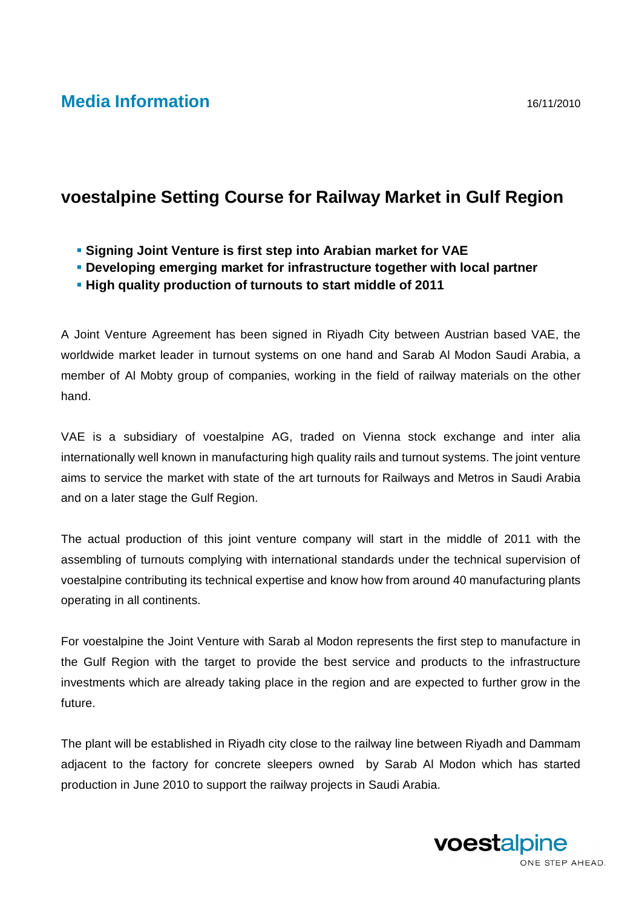## **Media Information** 16/11/2010

## **voestalpine Setting Course for Railway Market in Gulf Region**

- **Signing Joint Venture is first step into Arabian market for VAE**
- **Developing emerging market for infrastructure together with local partner**
- **High quality production of turnouts to start middle of 2011**

A Joint Venture Agreement has been signed in Riyadh City between Austrian based VAE, the worldwide market leader in turnout systems on one hand and Sarab Al Modon Saudi Arabia, a member of Al Mobty group of companies, working in the field of railway materials on the other hand.

VAE is a subsidiary of voestalpine AG, traded on Vienna stock exchange and inter alia internationally well known in manufacturing high quality rails and turnout systems. The joint venture aims to service the market with state of the art turnouts for Railways and Metros in Saudi Arabia and on a later stage the Gulf Region.

The actual production of this joint venture company will start in the middle of 2011 with the assembling of turnouts complying with international standards under the technical supervision of voestalpine contributing its technical expertise and know how from around 40 manufacturing plants operating in all continents.

For voestalpine the Joint Venture with Sarab al Modon represents the first step to manufacture in the Gulf Region with the target to provide the best service and products to the infrastructure investments which are already taking place in the region and are expected to further grow in the future.

The plant will be established in Riyadh city close to the railway line between Riyadh and Dammam adjacent to the factory for concrete sleepers owned by Sarab Al Modon which has started production in June 2010 to support the railway projects in Saudi Arabia.